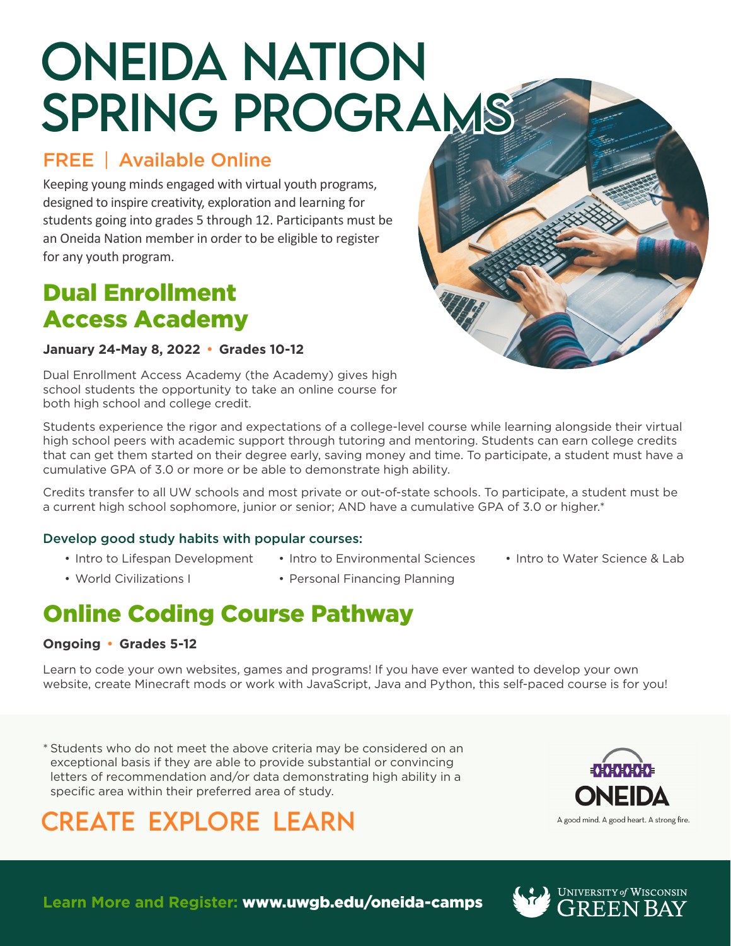# ONEIDA NATION SPRING PROGRAMS

# FREE | Available Online

Keeping young minds engaged with virtual youth programs, designed to inspire creativity, exploration and learning for students going into grades 5 through 12. Participants must be an Oneida Nation member in order to be eligible to register for any youth program.

# Dual Enrollment Access Academy

### **January 24-May 8, 2022 Grades 10-12**

Dual Enrollment Access Academy (the Academy) gives high school students the opportunity to take an online course for both high school and college credit.

Students experience the rigor and expectations of a college-level course while learning alongside their virtual high school peers with academic support through tutoring and mentoring. Students can earn college credits that can get them started on their degree early, saving money and time. To participate, a student must have a cumulative GPA of 3.0 or more or be able to demonstrate high ability.

Credits transfer to all UW schools and most private or out-of-state schools. To participate, a student must be a current high school sophomore, junior or senior; AND have a cumulative GPA of 3.0 or higher.\*

• Personal Financing Planning

### Develop good study habits with popular courses:

- Intro to Lifespan Development
- World Civilizations I
- Intro to Environmental Sciences
- Intro to Water Science & Lab

# Online Coding Course Pathway

### **Ongoing Grades 5-12**

Learn to code your own websites, games and programs! If you have ever wanted to develop your own website, create Minecraft mods or work with JavaScript, Java and Python, this self-paced course is for you!

\* Students who do not meet the above criteria may be considered on an exceptional basis if they are able to provide substantial or convincing letters of recommendation and/or data demonstrating high ability in a specific area within their preferred area of study.

# CREATE EXPLORE LEARN



**Learn More and Register:** www.uwgb.edu/oneida-camps